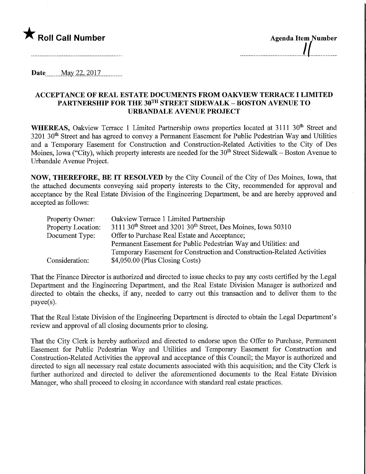

| <b>Agenda Item Number</b> |
|---------------------------|
|                           |
|                           |

 $1.11$ 

Date May 22, 2017

## ACCEPTANCE OF REAL ESTATE DOCUMENTS FROM OAKVIEW TERRACE I LIMITED PARTNERSHIP FOR THE 30TH STREET SIDEWALK - BOSTON AVENUE TO URBANDALE AVENUE PROJECT

WHEREAS, Oakview Terrace 1 Limited Partnership owns properties located at 3111 30<sup>th</sup> Street and 3201 30<sup>th</sup> Street and has agreed to convey a Permanent Easement for Public Pedestrian Way and Utilities and a Temporary Easement for Construction and Construction-Related Activities to the City of Des Moines, Iowa ("City), which property interests are needed for the 30<sup>th</sup> Street Sidewalk – Boston Avenue to Urbandale Avenue Project.

NOW, THEREFORE, BE IT RESOLVED by the City Council of the City of Des Moines, Iowa, that the attached documents conveying said property interests to the City, recommended for approval and acceptance by the Real Estate Division of the Engineering Department, be and are hereby approved and accepted as follows:

| Property Owner:    | Oakview Terrace 1 Limited Partnership                                                 |  |  |  |
|--------------------|---------------------------------------------------------------------------------------|--|--|--|
| Property Location: | 3111 30 <sup>th</sup> Street and 3201 30 <sup>th</sup> Street, Des Moines, Iowa 50310 |  |  |  |
| Document Type:     | Offer to Purchase Real Estate and Acceptance;                                         |  |  |  |
|                    | Permanent Easement for Public Pedestrian Way and Utilities: and                       |  |  |  |
|                    | Temporary Easement for Construction and Construction-Related Activities               |  |  |  |
| Consideration:     | $$4,050.00$ (Plus Closing Costs)                                                      |  |  |  |

That the Finance Director is authorized and directed to issue checks to pay any costs certified by the Legal Department and the Engineering Department, and the Real Estate Division Manager is authorized and directed to obtain the checks, if any, needed to carry out this transaction and to deliver them to the payee(s).

That the Real Estate Division of the Engineering Department is directed to obtain the Legal Department's review and approval of all closing documents prior to closing.

That the City Clerk is hereby authorized and directed to endorse upon the Offer to Purchase, Permanent Easement for Public Pedestrian Way and Utilities and Temporary Easement for Construction and Constmction-Related Activities the approval and acceptance of this Council; the Mayor is authorized and directed to sign all necessary real estate documents associated with this acquisition; and the City Clerk is further authorized and directed to deliver the aforementioned documents to the Real Estate Division Manager, who shall proceed to closing in accordance with standard real estate practices.